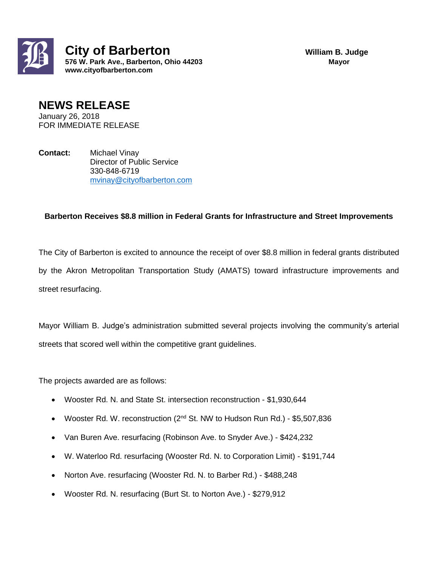

## **NEWS RELEASE**

January 26, 2018 FOR IMMEDIATE RELEASE

**Contact:** Michael Vinay Director of Public Service 330-848-6719 [mvinay@cityofbarberton.com](mailto:mvinay@cityofbarberton.com) 

## **Barberton Receives \$8.8 million in Federal Grants for Infrastructure and Street Improvements**

The City of Barberton is excited to announce the receipt of over \$8.8 million in federal grants distributed by the Akron Metropolitan Transportation Study (AMATS) toward infrastructure improvements and street resurfacing.

Mayor William B. Judge's administration submitted several projects involving the community's arterial streets that scored well within the competitive grant guidelines.

The projects awarded are as follows:

- Wooster Rd. N. and State St. intersection reconstruction \$1,930,644
- Wooster Rd. W. reconstruction (2<sup>nd</sup> St. NW to Hudson Run Rd.) \$5,507,836
- Van Buren Ave. resurfacing (Robinson Ave. to Snyder Ave.) \$424,232
- W. Waterloo Rd. resurfacing (Wooster Rd. N. to Corporation Limit) \$191,744
- Norton Ave. resurfacing (Wooster Rd. N. to Barber Rd.) \$488,248
- Wooster Rd. N. resurfacing (Burt St. to Norton Ave.) \$279,912